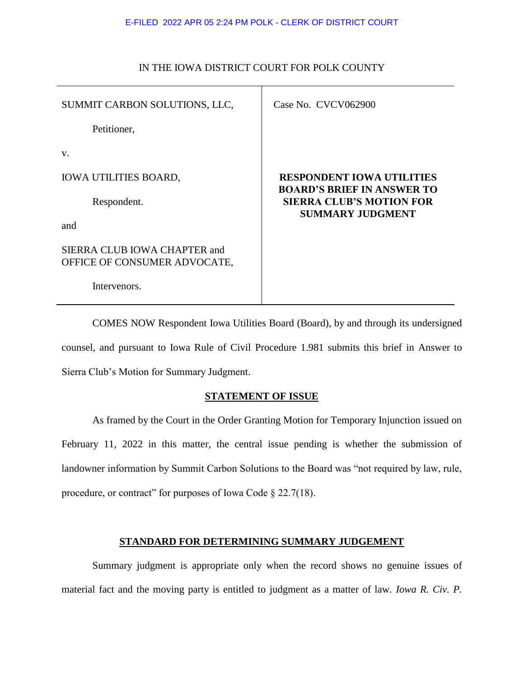#### E-FILED 2022 APR 05 2:24 PM POLK - CLERK OF DISTRICT COURT

| SUMMIT CARBON SOLUTIONS, LLC,                                | Case No. CVCV062900                                                                             |
|--------------------------------------------------------------|-------------------------------------------------------------------------------------------------|
| Petitioner,                                                  |                                                                                                 |
| V.                                                           |                                                                                                 |
| <b>IOWA UTILITIES BOARD,</b>                                 | <b>RESPONDENT IOWA UTILITIES</b>                                                                |
| Respondent.                                                  | <b>BOARD'S BRIEF IN ANSWER TO</b><br><b>SIERRA CLUB'S MOTION FOR</b><br><b>SUMMARY JUDGMENT</b> |
| and                                                          |                                                                                                 |
| SIERRA CLUB IOWA CHAPTER and<br>OFFICE OF CONSUMER ADVOCATE, |                                                                                                 |
| Intervenors.                                                 |                                                                                                 |

## IN THE IOWA DISTRICT COURT FOR POLK COUNTY

COMES NOW Respondent Iowa Utilities Board (Board), by and through its undersigned counsel, and pursuant to Iowa Rule of Civil Procedure 1.981 submits this brief in Answer to Sierra Club's Motion for Summary Judgment.

## **STATEMENT OF ISSUE**

As framed by the Court in the Order Granting Motion for Temporary Injunction issued on February 11, 2022 in this matter, the central issue pending is whether the submission of landowner information by Summit Carbon Solutions to the Board was "not required by law, rule, procedure, or contract" for purposes of Iowa Code § 22.7(18).

# **STANDARD FOR DETERMINING SUMMARY JUDGEMENT**

Summary judgment is appropriate only when the record shows no genuine issues of material fact and the moving party is entitled to judgment as a matter of law. *Iowa R. Civ. P.*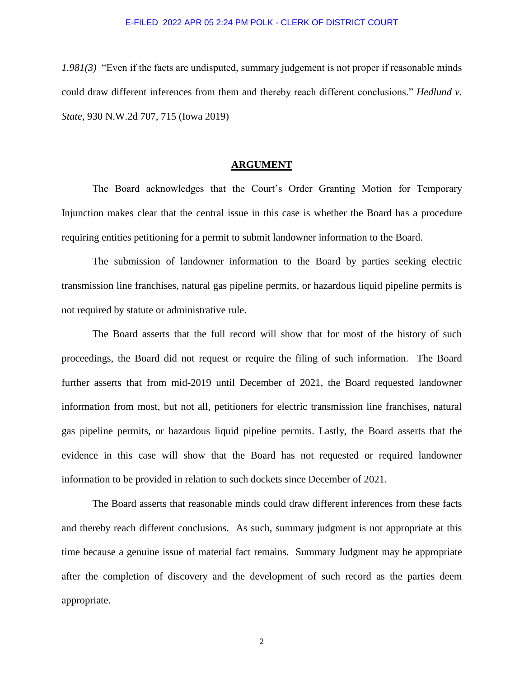*1.981(3)* "Even if the facts are undisputed, summary judgement is not proper if reasonable minds could draw different inferences from them and thereby reach different conclusions." *Hedlund v. State*, 930 N.W.2d 707, 715 (Iowa 2019)

#### **ARGUMENT**

The Board acknowledges that the Court's Order Granting Motion for Temporary Injunction makes clear that the central issue in this case is whether the Board has a procedure requiring entities petitioning for a permit to submit landowner information to the Board.

The submission of landowner information to the Board by parties seeking electric transmission line franchises, natural gas pipeline permits, or hazardous liquid pipeline permits is not required by statute or administrative rule.

The Board asserts that the full record will show that for most of the history of such proceedings, the Board did not request or require the filing of such information. The Board further asserts that from mid-2019 until December of 2021, the Board requested landowner information from most, but not all, petitioners for electric transmission line franchises, natural gas pipeline permits, or hazardous liquid pipeline permits. Lastly, the Board asserts that the evidence in this case will show that the Board has not requested or required landowner information to be provided in relation to such dockets since December of 2021.

The Board asserts that reasonable minds could draw different inferences from these facts and thereby reach different conclusions. As such, summary judgment is not appropriate at this time because a genuine issue of material fact remains. Summary Judgment may be appropriate after the completion of discovery and the development of such record as the parties deem appropriate.